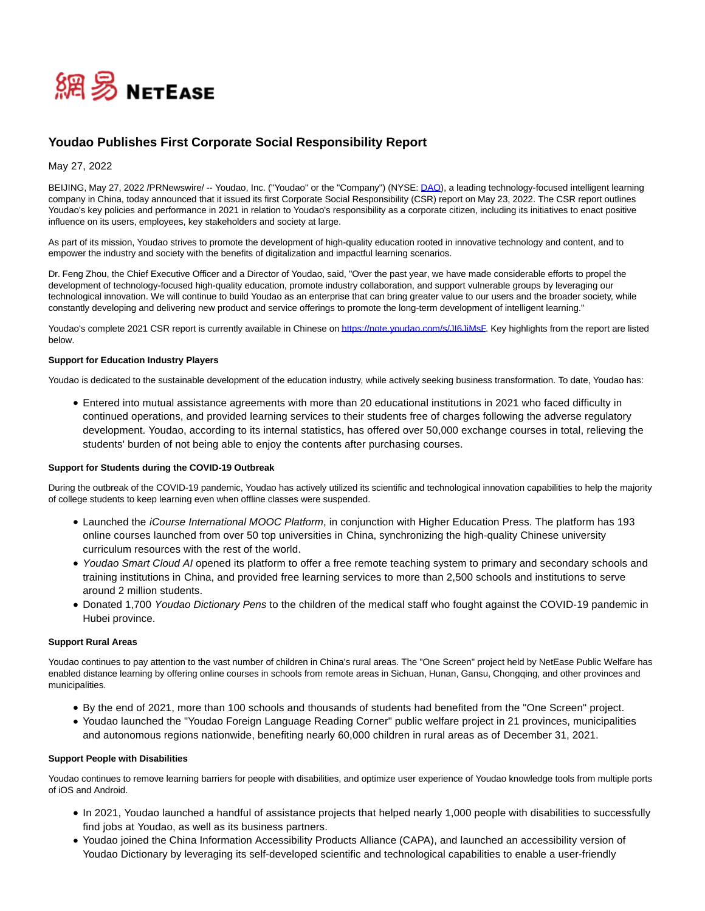

# **Youdao Publishes First Corporate Social Responsibility Report**

May 27, 2022

BEIJING, May 27, 2022 /PRNewswire/ -- Youdao, Inc. ("Youdao" or the "Company") (NYSE: [DAO\),](https://www.prnewswire.com/news-releases/youdao-publishes-first-corporate-social-responsibility-report-301556618.html?tc=eml_cleartime#financial-modal) a leading technology-focused intelligent learning company in China, today announced that it issued its first Corporate Social Responsibility (CSR) report on May 23, 2022. The CSR report outlines Youdao's key policies and performance in 2021 in relation to Youdao's responsibility as a corporate citizen, including its initiatives to enact positive influence on its users, employees, key stakeholders and society at large.

As part of its mission, Youdao strives to promote the development of high-quality education rooted in innovative technology and content, and to empower the industry and society with the benefits of digitalization and impactful learning scenarios.

Dr. Feng Zhou, the Chief Executive Officer and a Director of Youdao, said, "Over the past year, we have made considerable efforts to propel the development of technology-focused high-quality education, promote industry collaboration, and support vulnerable groups by leveraging our technological innovation. We will continue to build Youdao as an enterprise that can bring greater value to our users and the broader society, while constantly developing and delivering new product and service offerings to promote the long-term development of intelligent learning."

Youdao's complete 2021 CSR report is currently available in Chinese on [https://note.youdao.com/s/JI6JiMsF.](https://note.youdao.com/s/JI6JiMsF) Key highlights from the report are listed below.

#### **Support for Education Industry Players**

Youdao is dedicated to the sustainable development of the education industry, while actively seeking business transformation. To date, Youdao has:

Entered into mutual assistance agreements with more than 20 educational institutions in 2021 who faced difficulty in continued operations, and provided learning services to their students free of charges following the adverse regulatory development. Youdao, according to its internal statistics, has offered over 50,000 exchange courses in total, relieving the students' burden of not being able to enjoy the contents after purchasing courses.

# **Support for Students during the COVID-19 Outbreak**

During the outbreak of the COVID-19 pandemic, Youdao has actively utilized its scientific and technological innovation capabilities to help the majority of college students to keep learning even when offline classes were suspended.

- Launched the iCourse International MOOC Platform, in conjunction with Higher Education Press. The platform has 193 online courses launched from over 50 top universities in China, synchronizing the high-quality Chinese university curriculum resources with the rest of the world.
- Youdao Smart Cloud AI opened its platform to offer a free remote teaching system to primary and secondary schools and training institutions in China, and provided free learning services to more than 2,500 schools and institutions to serve around 2 million students.
- Donated 1,700 Youdao Dictionary Pens to the children of the medical staff who fought against the COVID-19 pandemic in Hubei province.

# **Support Rural Areas**

Youdao continues to pay attention to the vast number of children in China's rural areas. The "One Screen" project held by NetEase Public Welfare has enabled distance learning by offering online courses in schools from remote areas in Sichuan, Hunan, Gansu, Chongqing, and other provinces and municipalities.

- By the end of 2021, more than 100 schools and thousands of students had benefited from the "One Screen" project.
- Youdao launched the "Youdao Foreign Language Reading Corner" public welfare project in 21 provinces, municipalities and autonomous regions nationwide, benefiting nearly 60,000 children in rural areas as of December 31, 2021.

#### **Support People with Disabilities**

Youdao continues to remove learning barriers for people with disabilities, and optimize user experience of Youdao knowledge tools from multiple ports of iOS and Android.

- In 2021, Youdao launched a handful of assistance projects that helped nearly 1,000 people with disabilities to successfully find jobs at Youdao, as well as its business partners.
- Youdao joined the China Information Accessibility Products Alliance (CAPA), and launched an accessibility version of Youdao Dictionary by leveraging its self-developed scientific and technological capabilities to enable a user-friendly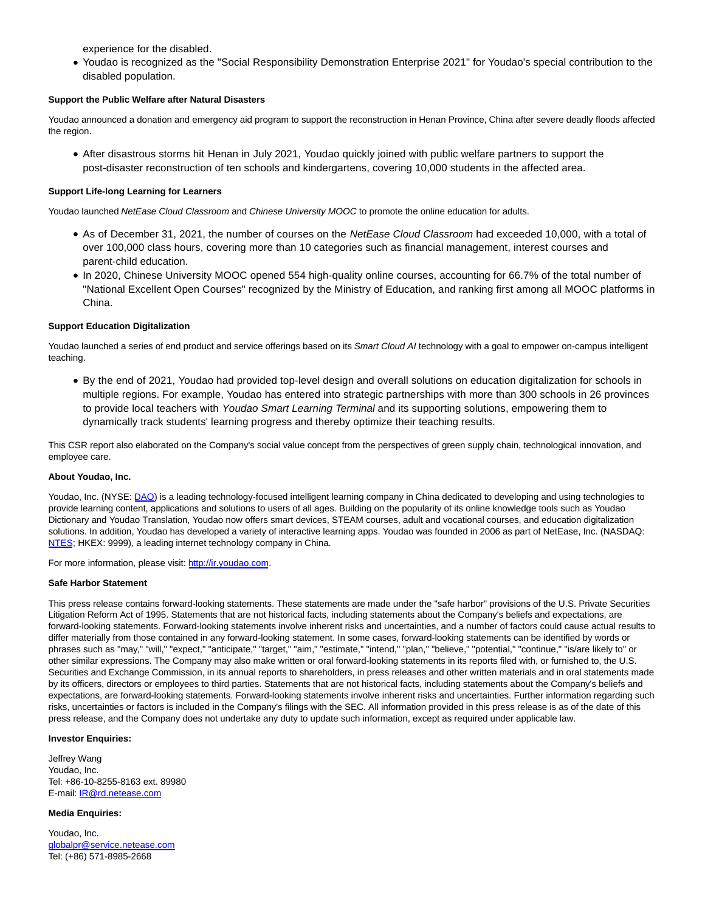experience for the disabled.

Youdao is recognized as the "Social Responsibility Demonstration Enterprise 2021" for Youdao's special contribution to the disabled population.

# **Support the Public Welfare after Natural Disasters**

Youdao announced a donation and emergency aid program to support the reconstruction in Henan Province, China after severe deadly floods affected the region.

After disastrous storms hit Henan in July 2021, Youdao quickly joined with public welfare partners to support the post-disaster reconstruction of ten schools and kindergartens, covering 10,000 students in the affected area.

# **Support Life-long Learning for Learners**

Youdao launched NetEase Cloud Classroom and Chinese University MOOC to promote the online education for adults.

- As of December 31, 2021, the number of courses on the NetEase Cloud Classroom had exceeded 10,000, with a total of over 100,000 class hours, covering more than 10 categories such as financial management, interest courses and parent-child education.
- In 2020, Chinese University MOOC opened 554 high-quality online courses, accounting for 66.7% of the total number of "National Excellent Open Courses" recognized by the Ministry of Education, and ranking first among all MOOC platforms in China.

# **Support Education Digitalization**

Youdao launched a series of end product and service offerings based on its Smart Cloud AI technology with a goal to empower on-campus intelligent teaching.

By the end of 2021, Youdao had provided top-level design and overall solutions on education digitalization for schools in multiple regions. For example, Youdao has entered into strategic partnerships with more than 300 schools in 26 provinces to provide local teachers with Youdao Smart Learning Terminal and its supporting solutions, empowering them to dynamically track students' learning progress and thereby optimize their teaching results.

This CSR report also elaborated on the Company's social value concept from the perspectives of green supply chain, technological innovation, and employee care.

# **About Youdao, Inc.**

Youdao, Inc. (NYSE: [DAO\)](https://www.prnewswire.com/news-releases/youdao-publishes-first-corporate-social-responsibility-report-301556618.html?tc=eml_cleartime#financial-modal) is a leading technology-focused intelligent learning company in China dedicated to developing and using technologies to provide learning content, applications and solutions to users of all ages. Building on the popularity of its online knowledge tools such as Youdao Dictionary and Youdao Translation, Youdao now offers smart devices, STEAM courses, adult and vocational courses, and education digitalization solutions. In addition, Youdao has developed a variety of interactive learning apps. Youdao was founded in 2006 as part of NetEase, Inc. (NASDAQ: [NTES;](https://www.prnewswire.com/news-releases/youdao-publishes-first-corporate-social-responsibility-report-301556618.html?tc=eml_cleartime#financial-modal) HKEX: 9999), a leading internet technology company in China.

For more information, please visit: [http://ir.youdao.com.](http://ir.youdao.com/)

# **Safe Harbor Statement**

This press release contains forward-looking statements. These statements are made under the "safe harbor" provisions of the U.S. Private Securities Litigation Reform Act of 1995. Statements that are not historical facts, including statements about the Company's beliefs and expectations, are forward-looking statements. Forward-looking statements involve inherent risks and uncertainties, and a number of factors could cause actual results to differ materially from those contained in any forward-looking statement. In some cases, forward-looking statements can be identified by words or phrases such as "may," "will," "expect," "anticipate," "target," "aim," "estimate," "intend," "plan," "believe," "potential," "continue," "is/are likely to" or other similar expressions. The Company may also make written or oral forward-looking statements in its reports filed with, or furnished to, the U.S. Securities and Exchange Commission, in its annual reports to shareholders, in press releases and other written materials and in oral statements made by its officers, directors or employees to third parties. Statements that are not historical facts, including statements about the Company's beliefs and expectations, are forward-looking statements. Forward-looking statements involve inherent risks and uncertainties. Further information regarding such risks, uncertainties or factors is included in the Company's filings with the SEC. All information provided in this press release is as of the date of this press release, and the Company does not undertake any duty to update such information, except as required under applicable law.

# **Investor Enquiries:**

Jeffrey Wang Youdao, Inc. Tel: +86-10-8255-8163 ext. 89980 E-mail: [IR@rd.netease.com](mailto:IR@rd.netease.com)

# **Media Enquiries:**

Youdao, Inc. [globalpr@service.netease.com](mailto:globalpr@service.netease.com) Tel: (+86) 571-8985-2668